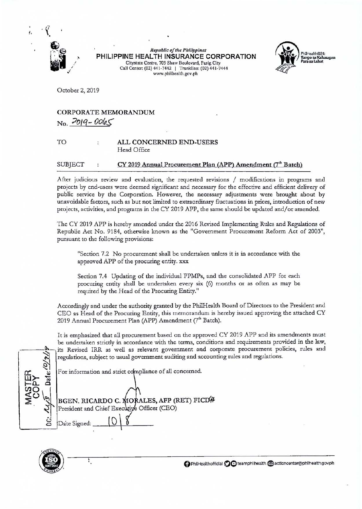

**Republic of the Philippines** PHILIPPINE HEALTH INSURANCE CORPORATION Citystate Centre, 709 Shaw Boulevard, Pasig City Call Center: (02) 441-7442 | Trunkline: (02) 441-7444 www.philhealth.gov.ph



October 2, 2019

## **CORPORATE MEMORANDUM**  $No. 2019 - 0065$

## TO ALL CONCERNED END-USERS  $\ddot{\cdot}$ Head Office

## **SUBJECT** CY 2019 Annual Procurement Plan (APP) Amendment (7<sup>th</sup> Batch)

After judicious review and evaluation, the requested revisions / modifications in programs and projects by end-users were deemed significant and necessary for the effective and efficient delivery of public service by the Corporation. However, the necessary adjustments were brought about by unavoidable factors, such as but not limited to extraordinary fluctuations in prices, introduction of new projects, activities, and programs in the CY 2019 APP, the same should be updated and/or amended.

The CY 2019 APP is hereby amended under the 2016 Revised Implementing Rules and Regulations of Republic Act No. 9184, otherwise known as the "Government Procurement Reform Act of 2003", pursuant to the following provisions:

"Section 7.2 No procurement shall be undertaken unless it is in accordance with the approved APP of the procuring entity. xxx

Section 7.4 Updating of the individual PPMPs, and the consolidated APP for each procuring entity shall be undertaken every six (6) months or as often as may be required by the Head of the Procuring Entity."

Accordingly and under the authority granted by the PhilHealth Board of Directors to the President and CEO as Head of the Procuring Entity, this memorandum is hereby issued approving the attached CY 2019 Annual Procurement Plan (APP) Amendment (7<sup>th</sup> Batch).

It is emphasized that all procurement based on the approved CY 2019 APP and its amendments must be undertaken strictly in accordance with the terms, conditions and requirements provided in the law, its Revised IRR as well as relevant government and corporate procurement policies, rules and regulations, subject to usual government auditing and accounting rules and regulations.

For information and strict compliance of all concerned.

BGEN, RICARDO C. MORALES, AFP (RET) FICD# President and Chief Executive Officer (CEO) Date Signed:



١.

O PhilHealthofficial O C teamphilhealth a actioncenter@philhealth.gov.ph